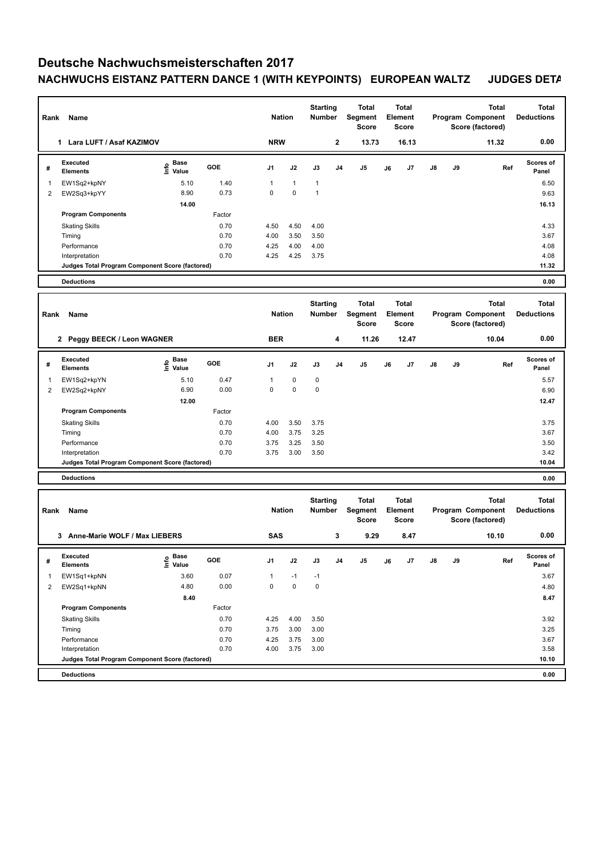## **Deutsche Nachwuchsmeisterschaften 2017 NACHWUCHS EISTANZ PATTERN DANCE 1 (WITH KEYPOINTS) EUROPEAN WALTZ JUDGES DETAILS**

| Rank           | Name                                            |                                           |                | <b>Nation</b> |               | <b>Starting</b><br><b>Number</b> | Total<br>Segment<br><b>Score</b>        | Total<br>Element<br><b>Score</b> |                                  | Total<br>Program Component<br>Score (factored) |                                       |                                                       | Total<br><b>Deductions</b>        |                                   |
|----------------|-------------------------------------------------|-------------------------------------------|----------------|---------------|---------------|----------------------------------|-----------------------------------------|----------------------------------|----------------------------------|------------------------------------------------|---------------------------------------|-------------------------------------------------------|-----------------------------------|-----------------------------------|
|                | 1 Lara LUFT / Asaf KAZIMOV                      |                                           |                |               | <b>NRW</b>    |                                  | $\mathbf{2}$                            | 13.73                            | 16.13                            |                                                |                                       |                                                       | 11.32                             | 0.00                              |
| #              | <b>Executed</b><br><b>Elements</b>              | e Base<br>⊆ Value                         | GOE            | J1            | J2            | J3                               | J4                                      | J5                               | J6                               | J7                                             | J8                                    | J9                                                    | Ref                               | Scores of<br>Panel                |
| 1              | EW1Sq2+kpNY                                     | 5.10                                      | 1.40           | 1             | $\mathbf{1}$  | $\mathbf{1}$                     |                                         |                                  |                                  |                                                |                                       |                                                       |                                   | 6.50                              |
| $\overline{2}$ | EW2Sq3+kpYY                                     | 8.90                                      | 0.73           | $\mathbf 0$   | 0             | $\mathbf{1}$                     |                                         |                                  |                                  |                                                |                                       |                                                       |                                   | 9.63                              |
|                | <b>Program Components</b>                       | 14.00                                     |                |               |               |                                  |                                         |                                  |                                  |                                                |                                       |                                                       |                                   | 16.13                             |
|                |                                                 |                                           | Factor<br>0.70 |               |               |                                  |                                         |                                  |                                  |                                                |                                       |                                                       |                                   |                                   |
|                | <b>Skating Skills</b><br>Timing                 |                                           | 0.70           | 4.50<br>4.00  | 4.50<br>3.50  | 4.00<br>3.50                     |                                         |                                  |                                  |                                                |                                       |                                                       |                                   | 4.33<br>3.67                      |
|                | Performance                                     |                                           | 0.70           | 4.25          | 4.00          | 4.00                             |                                         |                                  |                                  |                                                |                                       |                                                       |                                   | 4.08                              |
|                | Interpretation                                  |                                           | 0.70           | 4.25          | 4.25          | 3.75                             |                                         |                                  |                                  |                                                |                                       |                                                       |                                   | 4.08                              |
|                | Judges Total Program Component Score (factored) |                                           |                |               |               |                                  |                                         |                                  |                                  |                                                |                                       |                                                       |                                   | 11.32                             |
|                | <b>Deductions</b>                               |                                           |                |               |               |                                  |                                         |                                  |                                  |                                                |                                       |                                                       |                                   | 0.00                              |
|                |                                                 |                                           |                |               |               |                                  |                                         |                                  |                                  |                                                |                                       |                                                       |                                   |                                   |
| Rank           | Name                                            |                                           |                |               | <b>Nation</b> |                                  | <b>Starting</b><br><b>Number</b>        | Total<br>Segment<br><b>Score</b> | Total<br>Element<br><b>Score</b> |                                                | Program Component<br>Score (factored) |                                                       | Total                             | <b>Total</b><br><b>Deductions</b> |
|                | 2 Peggy BEECK / Leon WAGNER                     |                                           |                |               | <b>BER</b>    |                                  | 4                                       | 11.26                            | 12.47                            |                                                |                                       |                                                       | 10.04                             | 0.00                              |
| #              | <b>Executed</b><br><b>Elements</b>              | $\frac{e}{E}$ Base<br>$\frac{E}{E}$ Value | GOE            | J1            | J2            | J3                               | J4                                      | J5                               | J6                               | J7                                             | J8                                    | J9                                                    | Ref                               | Scores of<br>Panel                |
| 1              | EW1Sq2+kpYN                                     | 5.10                                      | 0.47           | $\mathbf{1}$  | 0             | 0                                |                                         |                                  |                                  |                                                |                                       |                                                       |                                   | 5.57                              |
| 2              | EW2Sq2+kpNY                                     | 6.90                                      | 0.00           | $\mathbf 0$   | $\mathbf 0$   | $\mathbf 0$                      |                                         |                                  |                                  |                                                |                                       |                                                       |                                   | 6.90                              |
|                |                                                 | 12.00                                     |                |               |               |                                  |                                         |                                  |                                  |                                                |                                       |                                                       |                                   | 12.47                             |
|                | <b>Program Components</b>                       |                                           | Factor         |               |               |                                  |                                         |                                  |                                  |                                                |                                       |                                                       |                                   |                                   |
|                | <b>Skating Skills</b>                           |                                           | 0.70<br>0.70   | 4.00<br>4.00  | 3.50<br>3.75  | 3.75<br>3.25                     |                                         |                                  |                                  |                                                |                                       |                                                       |                                   | 3.75<br>3.67                      |
|                | Timing<br>Performance                           |                                           | 0.70           | 3.75          | 3.25          | 3.50                             |                                         |                                  |                                  |                                                |                                       |                                                       |                                   | 3.50                              |
|                | Interpretation                                  |                                           | 0.70           | 3.75          | 3.00          | 3.50                             |                                         |                                  |                                  |                                                |                                       |                                                       |                                   | 3.42                              |
|                | Judges Total Program Component Score (factored) |                                           |                |               |               |                                  |                                         |                                  |                                  |                                                |                                       |                                                       |                                   | 10.04                             |
|                | <b>Deductions</b>                               |                                           |                |               |               |                                  |                                         |                                  |                                  |                                                |                                       |                                                       |                                   | 0.00                              |
|                |                                                 |                                           |                |               |               |                                  |                                         |                                  |                                  |                                                |                                       |                                                       |                                   |                                   |
| Rank           | Name                                            |                                           |                | <b>Nation</b> |               | <b>Starting</b><br><b>Number</b> | <b>Total</b><br>Segment<br><b>Score</b> | <b>Total</b><br>Element<br>Score |                                  |                                                |                                       | <b>Total</b><br>Program Component<br>Score (factored) | <b>Total</b><br><b>Deductions</b> |                                   |
|                | 3 Anne-Marie WOLF / Max LIEBERS                 |                                           |                |               | <b>SAS</b>    |                                  | 3                                       | 9.29                             | 8.47                             |                                                |                                       |                                                       | 10.10                             | 0.00                              |
| #              | Executed<br>Elements                            | <b>Base</b><br>o Base<br>⊆ Value          | GOE            | J1            | J2            | J3                               | J4                                      | J5                               | J6                               | J7                                             | J8                                    | J9                                                    | Ref                               | Scores of<br>Panel                |
| 1              | EW1Sq1+kpNN                                     | 3.60                                      | 0.07           | 1             | $-1$          | $-1$                             |                                         |                                  |                                  |                                                |                                       |                                                       |                                   | 3.67                              |
| 2              | EW2Sq1+kpNN                                     | 4.80                                      | 0.00           | $\mathbf 0$   | $\pmb{0}$     | $\mathbf 0$                      |                                         |                                  |                                  |                                                |                                       |                                                       |                                   | 4.80                              |
|                |                                                 | 8.40                                      |                |               |               |                                  |                                         |                                  |                                  |                                                |                                       |                                                       |                                   | 8.47                              |
|                | <b>Program Components</b>                       |                                           | Factor         |               |               |                                  |                                         |                                  |                                  |                                                |                                       |                                                       |                                   |                                   |
|                | <b>Skating Skills</b>                           |                                           | 0.70           | 4.25          | 4.00          | 3.50                             |                                         |                                  |                                  |                                                |                                       |                                                       |                                   | 3.92                              |
|                | Timing                                          |                                           | 0.70           | 3.75          | 3.00          | 3.00                             |                                         |                                  |                                  |                                                |                                       |                                                       |                                   | 3.25                              |
|                | Performance<br>Interpretation                   |                                           | 0.70<br>0.70   | 4.25<br>4.00  | 3.75<br>3.75  | 3.00<br>3.00                     |                                         |                                  |                                  |                                                |                                       |                                                       |                                   | 3.67<br>3.58                      |
|                | Judges Total Program Component Score (factored) |                                           |                |               |               |                                  |                                         |                                  |                                  |                                                |                                       |                                                       |                                   | 10.10                             |
|                | <b>Deductions</b>                               |                                           |                |               |               |                                  |                                         |                                  |                                  |                                                |                                       |                                                       |                                   | 0.00                              |
|                |                                                 |                                           |                |               |               |                                  |                                         |                                  |                                  |                                                |                                       |                                                       |                                   |                                   |